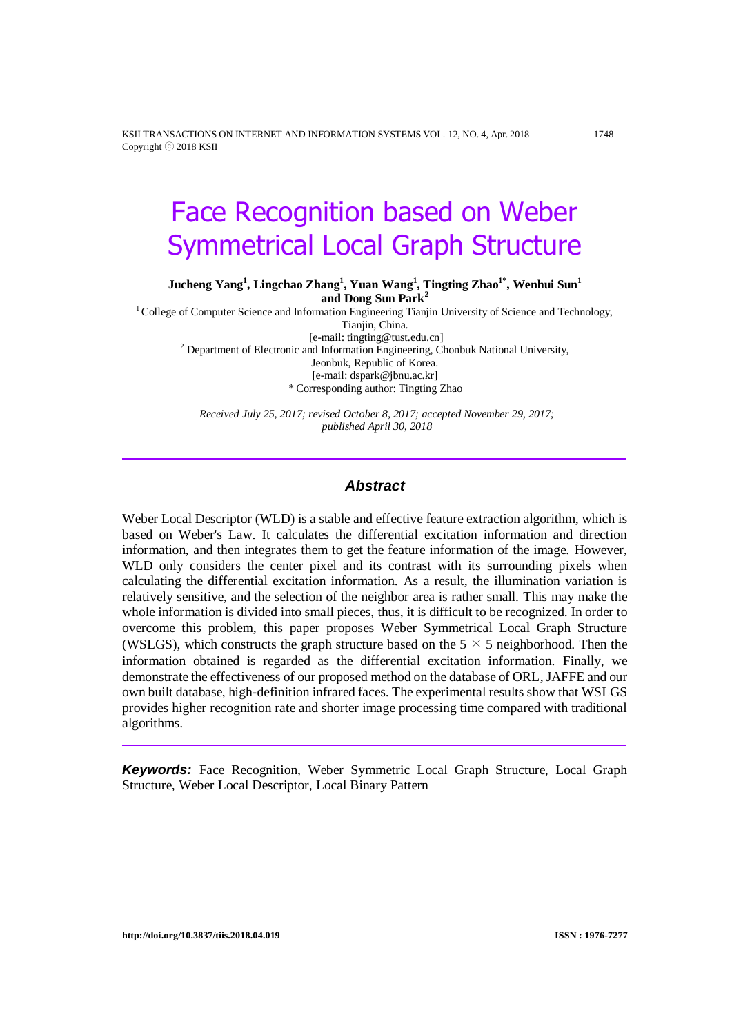KSII TRANSACTIONS ON INTERNET AND INFORMATION SYSTEMS VOL. 12, NO. 4, Apr. 2018 1748 Copyright ⓒ 2018 KSII

# Face Recognition based on Weber Symmetrical Local Graph Structure

**Jucheng Yang<sup>1</sup> , Lingchao Zhang<sup>1</sup> , Yuan Wang<sup>1</sup> , Tingting Zhao1\* , Wenhui Sun<sup>1</sup> and Dong Sun Park<sup>2</sup>**

<sup>1</sup>College of Computer Science and Information Engineering Tianjin University of Science and Technology, Tianiin, China.

[e-mail: tingting@tust.edu.cn] <sup>2</sup> Department of Electronic and Information Engineering, Chonbuk National University, Jeonbuk, Republic of Korea. [e-mail: dspark@jbnu.ac.kr] *\** Corresponding author: Tingting Zhao

*Received July 25, 2017; revised October 8, 2017; accepted November 29, 2017; published April 30, 2018*

#### *Abstract*

Weber Local Descriptor (WLD) is a stable and effective feature extraction algorithm, which is based on Weber's Law. It calculates the differential excitation information and direction information, and then integrates them to get the feature information of the image. However, WLD only considers the center pixel and its contrast with its surrounding pixels when calculating the differential excitation information. As a result, the illumination variation is relatively sensitive, and the selection of the neighbor area is rather small. This may make the whole information is divided into small pieces, thus, it is difficult to be recognized. In order to overcome this problem, this paper proposes Weber Symmetrical Local Graph Structure (WSLGS), which constructs the graph structure based on the  $5 \times 5$  neighborhood. Then the information obtained is regarded as the differential excitation information. Finally, we demonstrate the effectiveness of our proposed method on the database of ORL, JAFFE and our own built database, high-definition infrared faces. The experimental results show that WSLGS provides higher recognition rate and shorter image processing time compared with traditional algorithms.

*Keywords:* Face Recognition, Weber Symmetric Local Graph Structure, Local Graph Structure, Weber Local Descriptor, Local Binary Pattern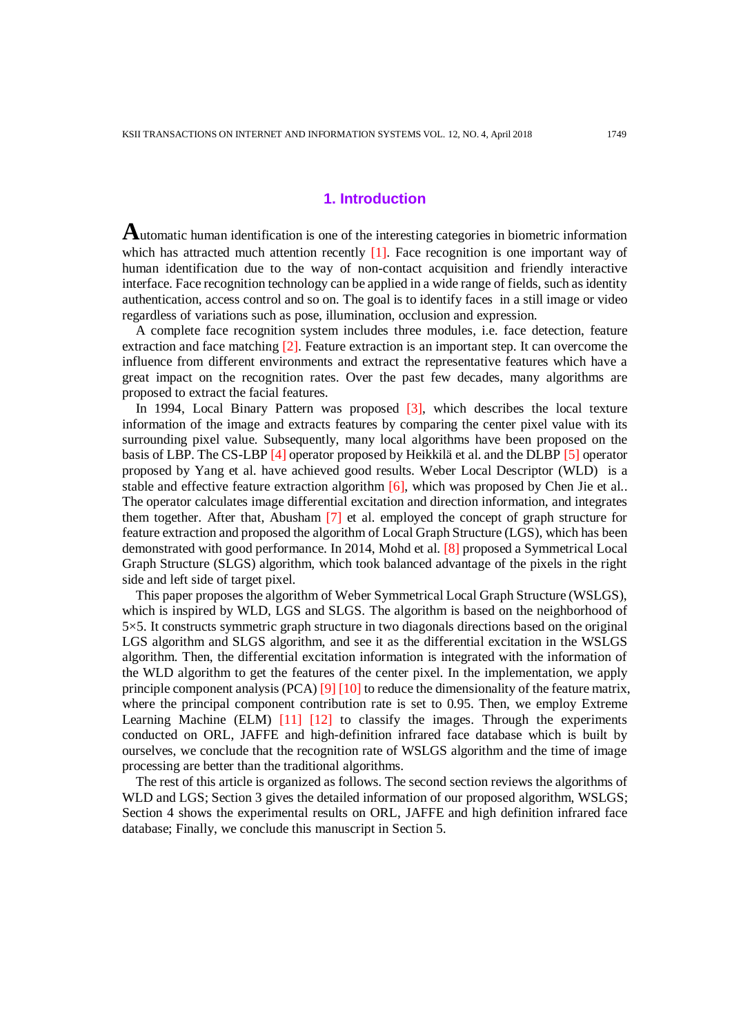## **1. Introduction**

**A**utomatic human identification is one of the interesting categories in biometric information which has attracted much attention recently  $[1]$ . Face recognition is one important way of human identification due to the way of non-contact acquisition and friendly interactive interface. Face recognition technology can be applied in a wide range of fields, such as identity authentication, access control and so on. The goal is to identify faces in a still image or video regardless of variations such as pose, illumination, occlusion and expression.

A complete face recognition system includes three modules, i.e. face detection, feature extraction and face matching [2]. Feature extraction is an important step. It can overcome the influence from different environments and extract the representative features which have a great impact on the recognition rates. Over the past few decades, many algorithms are proposed to extract the facial features.

In 1994, Local Binary Pattern was proposed [3], which describes the local texture information of the image and extracts features by comparing the center pixel value with its surrounding pixel value. Subsequently, many local algorithms have been proposed on the basis of LBP. The CS-LBP [4] operator proposed by Heikkilä et al. and the DLBP [5] operator proposed by Yang et al. have achieved good results. Weber Local Descriptor (WLD) is a stable and effective feature extraction algorithm  $[6]$ , which was proposed by Chen Jie et al.. The operator calculates image differential excitation and direction information, and integrates them together. After that, Abusham [7] et al. employed the concept of graph structure for feature extraction and proposed the algorithm of Local Graph Structure (LGS), which has been demonstrated with good performance. In 2014, Mohd et al. [8] proposed a Symmetrical Local Graph Structure (SLGS) algorithm, which took balanced advantage of the pixels in the right side and left side of target pixel.

This paper proposes the algorithm of Weber Symmetrical Local Graph Structure (WSLGS), which is inspired by WLD, LGS and SLGS. The algorithm is based on the neighborhood of 5×5. It constructs symmetric graph structure in two diagonals directions based on the original LGS algorithm and SLGS algorithm, and see it as the differential excitation in the WSLGS algorithm. Then, the differential excitation information is integrated with the information of the WLD algorithm to get the features of the center pixel. In the implementation, we apply principle component analysis (PCA) [9] [10] to reduce the dimensionality of the feature matrix, where the principal component contribution rate is set to 0.95. Then, we employ Extreme Learning Machine (ELM) [11] [12] to classify the images. Through the experiments conducted on ORL, JAFFE and high-definition infrared face database which is built by ourselves, we conclude that the recognition rate of WSLGS algorithm and the time of image processing are better than the traditional algorithms.

The rest of this article is organized as follows. The second section reviews the algorithms of WLD and LGS; Section 3 gives the detailed information of our proposed algorithm, WSLGS; Section 4 shows the experimental results on ORL, JAFFE and high definition infrared face database; Finally, we conclude this manuscript in Section 5.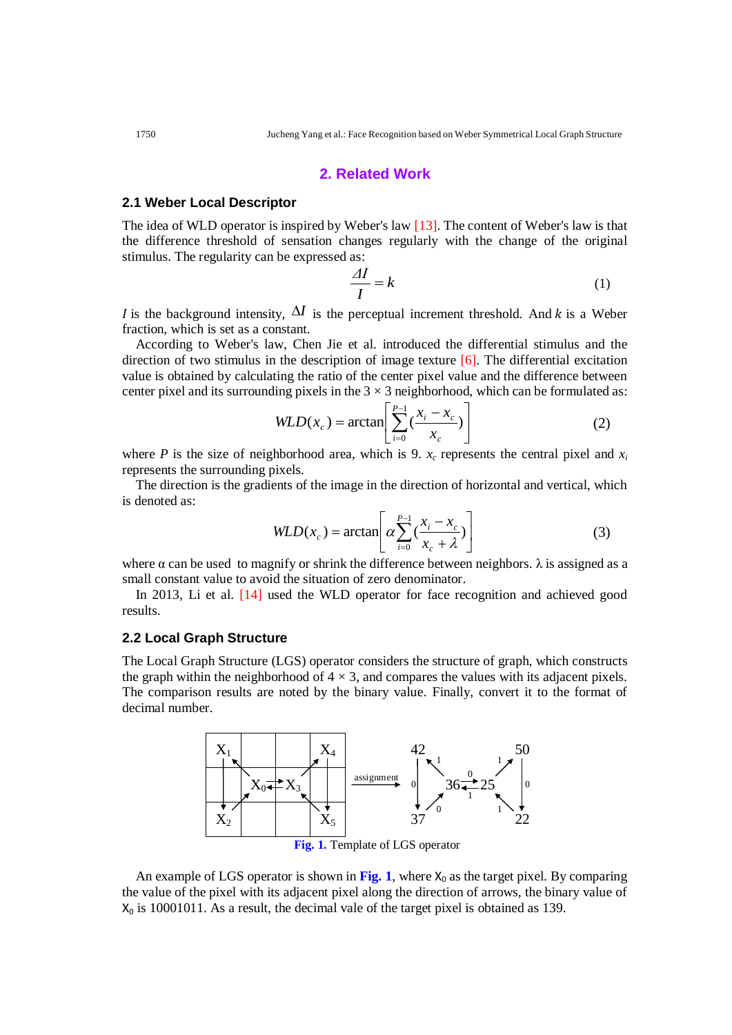#### **2. Related Work**

#### **2.1 Weber Local Descriptor**

The idea of WLD operator is inspired by Weber's law [13]. The content of Weber's law is that the difference threshold of sensation changes regularly with the change of the original stimulus. The regularity can be expressed as:

$$
\frac{\Delta I}{I} = k \tag{1}
$$

*I* is the background intensity,  $\Delta I$  is the perceptual increment threshold. And *k* is a Weber fraction, which is set as a constant.

According to Weber's law, Chen Jie et al. introduced the differential stimulus and the direction of two stimulus in the description of image texture [6]. The differential excitation value is obtained by calculating the ratio of the center pixel value and the difference between center pixel and its surrounding pixels in the  $3 \times 3$  neighborhood, which can be formulated as:

$$
WLD(x_c) = \arctan\left[\sum_{i=0}^{P-1} \left(\frac{x_i - x_c}{x_c}\right)\right]
$$
 (2)

where *P* is the size of neighborhood area, which is 9.  $x_c$  represents the central pixel and  $x_i$ represents the surrounding pixels.

The direction is the gradients of the image in the direction of horizontal and vertical, which is denoted as:

$$
WLD(x_c) = \arctan\left[\alpha \sum_{i=0}^{P-1} \left(\frac{x_i - x_c}{x_c + \lambda}\right)\right]
$$
(3)

where  $\alpha$  can be used to magnify or shrink the difference between neighbors.  $\lambda$  is assigned as a small constant value to avoid the situation of zero denominator.

In 2013, Li et al. [14] used the WLD operator for face recognition and achieved good results.

#### **2.2 Local Graph Structure**

The Local Graph Structure (LGS) operator considers the structure of graph, which constructs the graph within the neighborhood of  $4 \times 3$ , and compares the values with its adjacent pixels. The comparison results are noted by the binary value. Finally, convert it to the format of decimal number.



**Fig. 1.** Template of LGS operator

An example of LGS operator is shown in Fig. 1, where  $X_0$  as the target pixel. By comparing the value of the pixel with its adjacent pixel along the direction of arrows, the binary value of  $X_0$  is 10001011. As a result, the decimal vale of the target pixel is obtained as 139.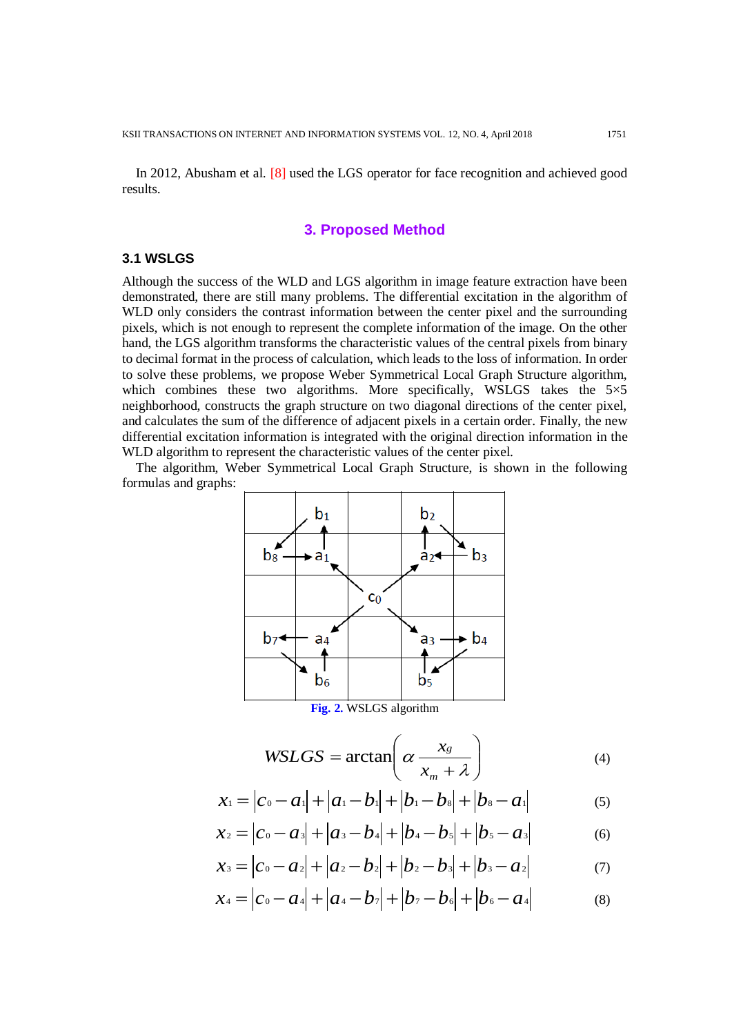In 2012, Abusham et al. [8] used the LGS operator for face recognition and achieved good results.

## **3. Proposed Method**

#### **3.1 WSLGS**

Although the success of the WLD and LGS algorithm in image feature extraction have been demonstrated, there are still many problems. The differential excitation in the algorithm of WLD only considers the contrast information between the center pixel and the surrounding pixels, which is not enough to represent the complete information of the image. On the other hand, the LGS algorithm transforms the characteristic values of the central pixels from binary to decimal format in the process of calculation, which leads to the loss of information. In order to solve these problems, we propose Weber Symmetrical Local Graph Structure algorithm, which combines these two algorithms. More specifically, WSLGS takes the  $5\times5$ neighborhood, constructs the graph structure on two diagonal directions of the center pixel, and calculates the sum of the difference of adjacent pixels in a certain order. Finally, the new differential excitation information is integrated with the original direction information in the WLD algorithm to represent the characteristic values of the center pixel.

The algorithm, Weber Symmetrical Local Graph Structure, is shown in the following formulas and graphs:



$$
WSLGS = \arctan\left(\alpha \frac{x_g}{x_m + \lambda}\right) \tag{4}
$$

$$
x_1 = |c_0 - a_1| + |a_1 - b_1| + |b_1 - b_2| + |b_3 - a_1|
$$
 (5)

$$
x_2 = |c_0 - a_3| + |a_3 - b_4| + |b_4 - b_5| + |b_5 - a_3| \tag{6}
$$

$$
x_3 = |c_0 - a_2| + |a_2 - b_2| + |b_2 - b_3| + |b_3 - a_2| \tag{7}
$$

 $x_4 = |c_0 - a_4| + |a_4 - b_7| + |b_7 - b_6| + |b_6 - a_4|$ (8)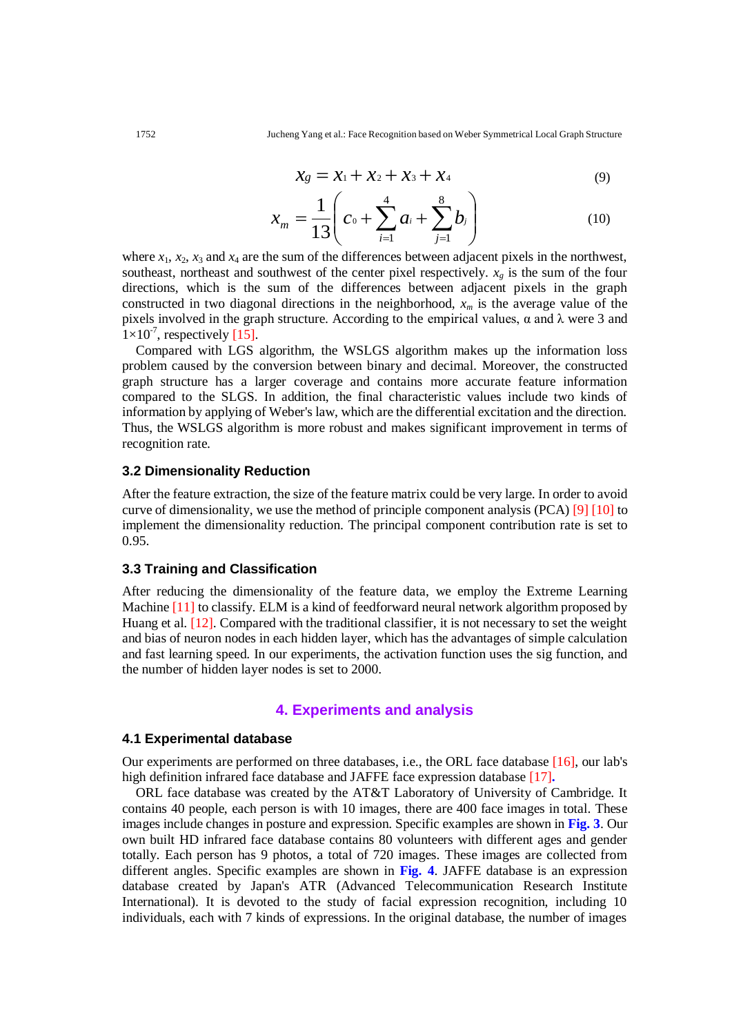$$
x_8 = x_1 + x_2 + x_3 + x_4 \tag{9}
$$

$$
x_m = \frac{1}{13} \left( c_0 + \sum_{i=1}^4 a_i + \sum_{j=1}^8 b_j \right) \tag{10}
$$

where  $x_1$ ,  $x_2$ ,  $x_3$  and  $x_4$  are the sum of the differences between adjacent pixels in the northwest, southeast, northeast and southwest of the center pixel respectively.  $x<sub>g</sub>$  is the sum of the four directions, which is the sum of the differences between adjacent pixels in the graph constructed in two diagonal directions in the neighborhood, *x<sup>m</sup>* is the average value of the pixels involved in the graph structure. According to the empirical values,  $\alpha$  and  $\lambda$  were 3 and  $1 \times 10^{-7}$ , respectively [15].

Compared with LGS algorithm, the WSLGS algorithm makes up the information loss problem caused by the conversion between binary and decimal. Moreover, the constructed graph structure has a larger coverage and contains more accurate feature information compared to the SLGS. In addition, the final characteristic values include two kinds of information by applying of Weber's law, which are the differential excitation and the direction. Thus, the WSLGS algorithm is more robust and makes significant improvement in terms of recognition rate.

#### **3.2 Dimensionality Reduction**

After the feature extraction, the size of the feature matrix could be very large. In order to avoid curve of dimensionality, we use the method of principle component analysis (PCA) [9] [10] to implement the dimensionality reduction. The principal component contribution rate is set to 0.95.

#### **3.3 Training and Classification**

After reducing the dimensionality of the feature data, we employ the Extreme Learning Machine [11] to classify. ELM is a kind of feedforward neural network algorithm proposed by Huang et al. [12]. Compared with the traditional classifier, it is not necessary to set the weight and bias of neuron nodes in each hidden layer, which has the advantages of simple calculation and fast learning speed. In our experiments, the activation function uses the sig function, and the number of hidden layer nodes is set to 2000.

## **4. Experiments and analysis**

#### **4.1 Experimental database**

Our experiments are performed on three databases, i.e., the ORL face database [16], our lab's high definition infrared face database and JAFFE face expression database [17]**.**

ORL face database was created by the AT&T Laboratory of University of Cambridge. It contains 40 people, each person is with 10 images, there are 400 face images in total. These images include changes in posture and expression. Specific examples are shown in **Fig. 3**. Our own built HD infrared face database contains 80 volunteers with different ages and gender totally. Each person has 9 photos, a total of 720 images. These images are collected from different angles. Specific examples are shown in **Fig. 4**. JAFFE database is an expression database created by Japan's ATR (Advanced Telecommunication Research Institute International). It is devoted to the study of facial expression recognition, including 10 individuals, each with 7 kinds of expressions. In the original database, the number of images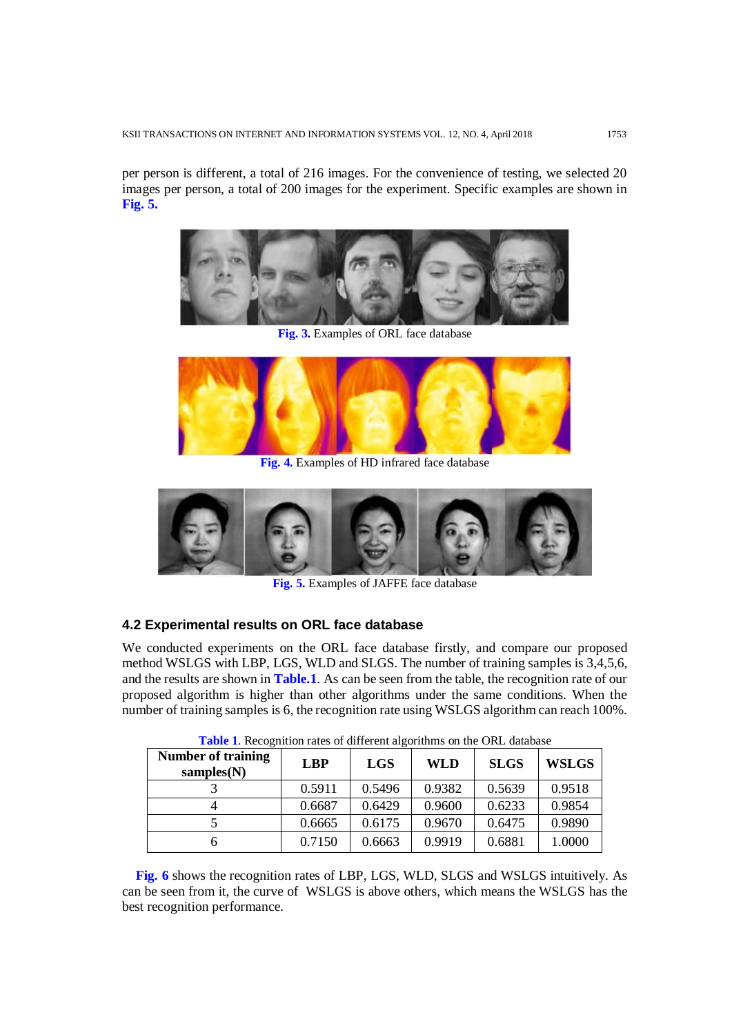per person is different, a total of 216 images. For the convenience of testing, we selected 20 images per person, a total of 200 images for the experiment. Specific examples are shown in **Fig. 5.**



**Fig. 3.** Examples of ORL face database



**Fig. 4.** Examples of HD infrared face database



**Fig. 5.** Examples of JAFFE face database

# **4.2 Experimental results on ORL face database**

We conducted experiments on the ORL face database firstly, and compare our proposed method WSLGS with LBP, LGS, WLD and SLGS. The number of training samples is 3,4,5,6, and the results are shown in **Table.1**. As can be seen from the table, the recognition rate of our proposed algorithm is higher than other algorithms under the same conditions. When the number of training samples is 6, the recognition rate using WSLGS algorithm can reach 100%.

| <b>Number of training</b><br>samples $(N)$ | <b>LBP</b> | <b>LGS</b> | WLD    | <b>SLGS</b> | <b>WSLGS</b> |
|--------------------------------------------|------------|------------|--------|-------------|--------------|
|                                            | 0.5911     | 0.5496     | 0.9382 | 0.5639      | 0.9518       |
|                                            | 0.6687     | 0.6429     | 0.9600 | 0.6233      | 0.9854       |
|                                            | 0.6665     | 0.6175     | 0.9670 | 0.6475      | 0.9890       |
|                                            | 0.7150     | 0.6663     | 0.9919 | 0.6881      | 1.0000       |

**Table 1**. Recognition rates of different algorithms on the ORL database

**Fig. 6** shows the recognition rates of LBP, LGS, WLD, SLGS and WSLGS intuitively. As can be seen from it, the curve of WSLGS is above others, which means the WSLGS has the best recognition performance.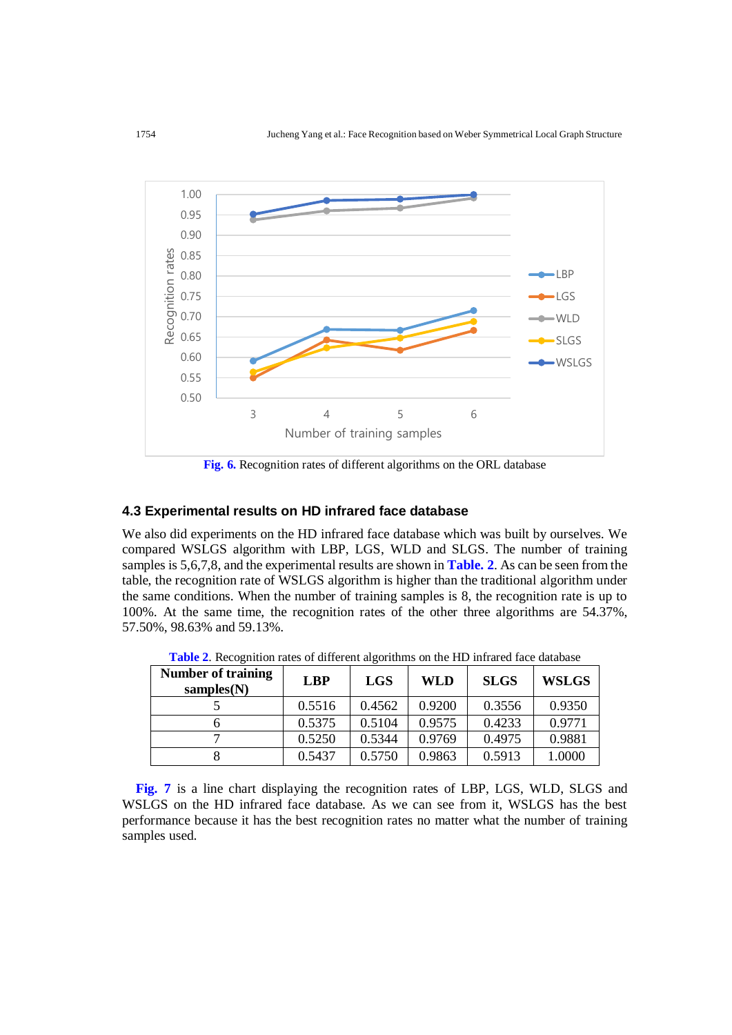

**Fig. 6.** Recognition rates of different algorithms on the ORL database

#### **4.3 Experimental results on HD infrared face database**

We also did experiments on the HD infrared face database which was built by ourselves. We compared WSLGS algorithm with LBP, LGS, WLD and SLGS. The number of training samples is 5,6,7,8, and the experimental results are shown in **Table. 2**. As can be seen from the table, the recognition rate of WSLGS algorithm is higher than the traditional algorithm under the same conditions. When the number of training samples is 8, the recognition rate is up to 100%. At the same time, the recognition rates of the other three algorithms are 54.37%, 57.50%, 98.63% and 59.13%.

| <b>Number of training</b><br>samples(N) | <b>LBP</b> | <b>LGS</b> | <b>WLD</b> | <b>SLGS</b> | <b>WSLGS</b> |
|-----------------------------------------|------------|------------|------------|-------------|--------------|
|                                         | 0.5516     | 0.4562     | 0.9200     | 0.3556      | 0.9350       |
|                                         | 0.5375     | 0.5104     | 0.9575     | 0.4233      | 0.9771       |
|                                         | 0.5250     | 0.5344     | 0.9769     | 0.4975      | 0.9881       |
|                                         | 0.5437     | 0.5750     | 0.9863     | 0.5913      | 1.0000       |

**Table 2**. Recognition rates of different algorithms on the HD infrared face database

**Fig. 7** is a line chart displaying the recognition rates of LBP, LGS, WLD, SLGS and WSLGS on the HD infrared face database. As we can see from it, WSLGS has the best performance because it has the best recognition rates no matter what the number of training samples used.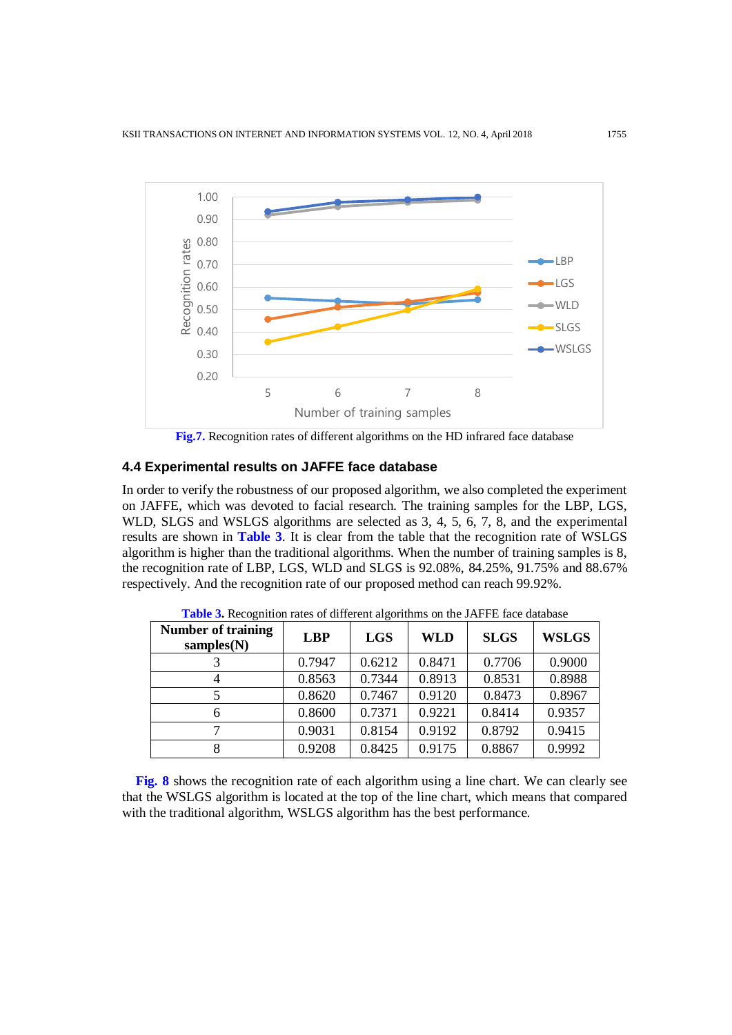

**Fig.7.** Recognition rates of different algorithms on the HD infrared face database

# **4.4 Experimental results on JAFFE face database**

In order to verify the robustness of our proposed algorithm, we also completed the experiment on JAFFE, which was devoted to facial research. The training samples for the LBP, LGS, WLD, SLGS and WSLGS algorithms are selected as 3, 4, 5, 6, 7, 8, and the experimental results are shown in **Table 3**. It is clear from the table that the recognition rate of WSLGS algorithm is higher than the traditional algorithms. When the number of training samples is 8, the recognition rate of LBP, LGS, WLD and SLGS is 92.08%, 84.25%, 91.75% and 88.67% respectively. And the recognition rate of our proposed method can reach 99.92%.

| <b>Number of training</b><br>samples $(N)$ | <b>LBP</b> | <b>LGS</b> | <b>WLD</b> | <b>SLGS</b> | <b>WSLGS</b> |
|--------------------------------------------|------------|------------|------------|-------------|--------------|
|                                            | 0.7947     | 0.6212     | 0.8471     | 0.7706      | 0.9000       |
|                                            | 0.8563     | 0.7344     | 0.8913     | 0.8531      | 0.8988       |
|                                            | 0.8620     | 0.7467     | 0.9120     | 0.8473      | 0.8967       |
| 6                                          | 0.8600     | 0.7371     | 0.9221     | 0.8414      | 0.9357       |
| 7                                          | 0.9031     | 0.8154     | 0.9192     | 0.8792      | 0.9415       |
| 8                                          | 0.9208     | 0.8425     | 0.9175     | 0.8867      | 0.9992       |

**Table 3.** Recognition rates of different algorithms on the JAFFE face database

**Fig. 8** shows the recognition rate of each algorithm using a line chart. We can clearly see that the WSLGS algorithm is located at the top of the line chart, which means that compared with the traditional algorithm, WSLGS algorithm has the best performance.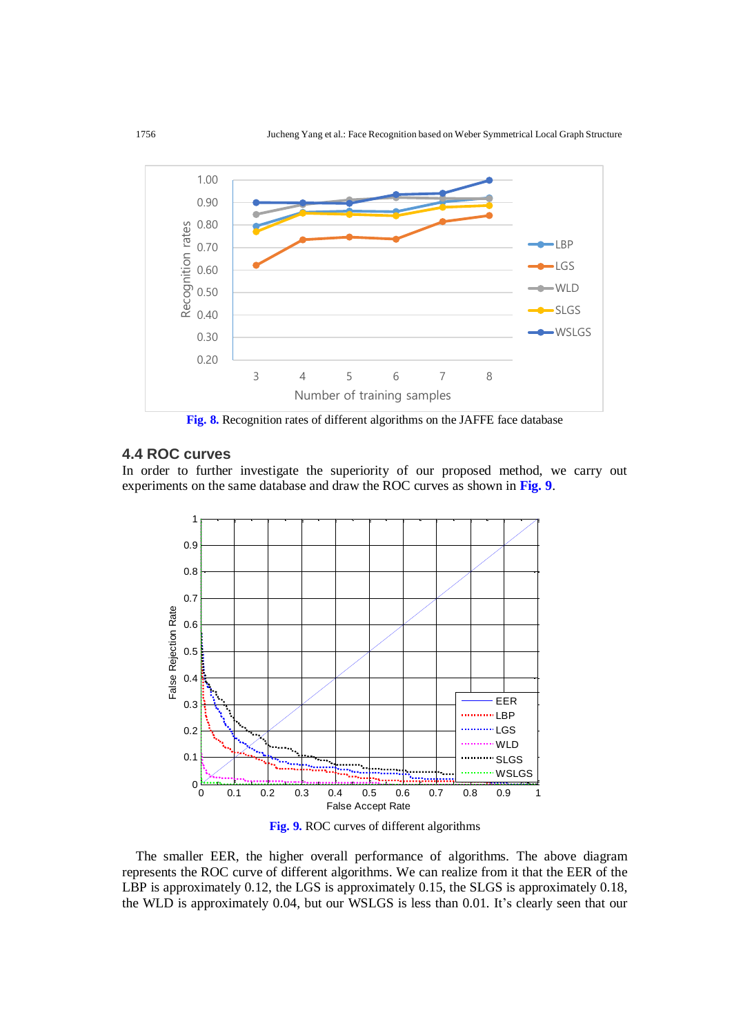

**Fig. 8.** Recognition rates of different algorithms on the JAFFE face database

# **4.4 ROC curves**

In order to further investigate the superiority of our proposed method, we carry out experiments on the same database and draw the ROC curves as shown in **Fig. 9**.



**Fig. 9.** ROC curves of different algorithms

The smaller EER, the higher overall performance of algorithms. The above diagram represents the ROC curve of different algorithms. We can realize from it that the EER of the LBP is approximately 0.12, the LGS is approximately 0.15, the SLGS is approximately 0.18, the WLD is approximately 0.04, but our WSLGS is less than 0.01. It's clearly seen that our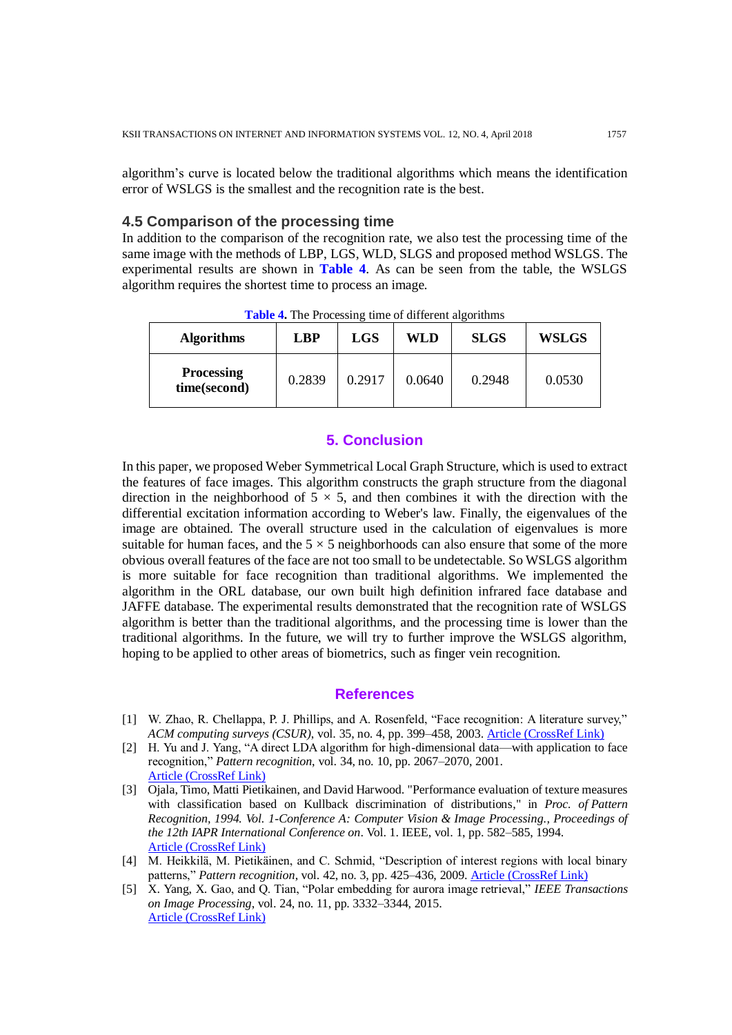algorithm's curve is located below the traditional algorithms which means the identification error of WSLGS is the smallest and the recognition rate is the best.

## **4.5 Comparison of the processing time**

In addition to the comparison of the recognition rate, we also test the processing time of the same image with the methods of LBP, LGS, WLD, SLGS and proposed method WSLGS. The experimental results are shown in **Table 4**. As can be seen from the table, the WSLGS algorithm requires the shortest time to process an image.

| <b>Algorithms</b>                 | <b>LBP</b> | <b>LGS</b> | WLD    | <b>SLGS</b> | <b>WSLGS</b> |
|-----------------------------------|------------|------------|--------|-------------|--------------|
| <b>Processing</b><br>time(second) | 0.2839     | 0.2917     | 0.0640 | 0.2948      | 0.0530       |

**Table 4.** The Processing time of different algorithms

## **5. Conclusion**

In this paper, we proposed Weber Symmetrical Local Graph Structure, which is used to extract the features of face images. This algorithm constructs the graph structure from the diagonal direction in the neighborhood of  $5 \times 5$ , and then combines it with the direction with the differential excitation information according to Weber's law. Finally, the eigenvalues of the image are obtained. The overall structure used in the calculation of eigenvalues is more suitable for human faces, and the  $5 \times 5$  neighborhoods can also ensure that some of the more obvious overall features of the face are not too small to be undetectable. So WSLGS algorithm is more suitable for face recognition than traditional algorithms. We implemented the algorithm in the ORL database, our own built high definition infrared face database and JAFFE database. The experimental results demonstrated that the recognition rate of WSLGS algorithm is better than the traditional algorithms, and the processing time is lower than the traditional algorithms. In the future, we will try to further improve the WSLGS algorithm, hoping to be applied to other areas of biometrics, such as finger vein recognition.

#### **References**

- [1] W. Zhao, R. Chellappa, P. J. Phillips, and A. Rosenfeld, "Face recognition: A literature survey," *ACM computing surveys (CSUR)*, vol. 35, no. 4, pp. 399–458, 2003. [Article \(CrossRef Link\)](https://doi.org/10.1145/954339.954342)
- [2] H. Yu and J. Yang, "A direct LDA algorithm for high-dimensional data—with application to face recognition," *Pattern recognition*, vol. 34, no. 10, pp. 2067–2070, 2001. [Article \(CrossRef Link\)](https://doi.org/10.1016/S0031-3203(00)00162-X)
- [3] Ojala, Timo, Matti Pietikainen, and David Harwood. "Performance evaluation of texture measures with classification based on Kullback discrimination of distributions," in *Proc. of Pattern Recognition, 1994. Vol. 1-Conference A: Computer Vision & Image Processing., Proceedings of the 12th IAPR International Conference on*. Vol. 1. IEEE, vol. 1, pp. 582–585, 1994. [Article \(CrossRef Link\)](http://ieeexplore.ieee.org/abstract/document/576366/)
- [4] M. Heikkilä, M. Pietikäinen, and C. Schmid, "Description of interest regions with local binary patterns," *Pattern recognition*, vol. 42, no. 3, pp. 425–436, 2009. [Article \(CrossRef Link\)](https://doi.org/10.1016/j.patcog.2008.08.014)
- [5] X. Yang, X. Gao, and Q. Tian, "Polar embedding for aurora image retrieval," *IEEE Transactions on Image Processing*, vol. 24, no. 11, pp. 3332–3344, 2015. [Article \(CrossRef Link\)](https://doi.org/10.1109/TIP.2015.2442913)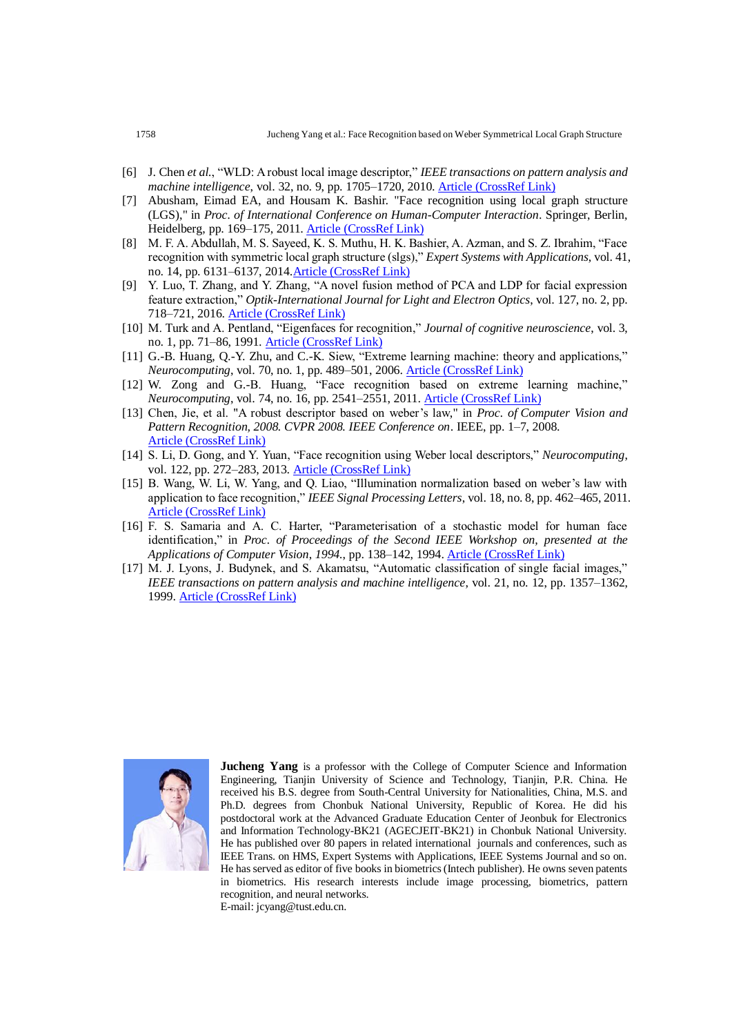- [6] J. Chen *et al.*, "WLD: A robust local image descriptor," *IEEE transactions on pattern analysis and machine intelligence*, vol. 32, no. 9, pp. 1705–1720, 2010. [Article \(CrossRef Link\)](https://doi.org/10.1109/TPAMI.2009.155)
- [7] Abusham, Eimad EA, and Housam K. Bashir. "Face recognition using local graph structure (LGS)," in *Proc. of International Conference on Human-Computer Interaction*. Springer, Berlin, Heidelberg, pp. 169–175, 2011. [Article \(CrossRef Link\)](https://link.springer.com/chapter/10.1007/978-3-642-21605-3_19)
- [8] M. F. A. Abdullah, M. S. Sayeed, K. S. Muthu, H. K. Bashier, A. Azman, and S. Z. Ibrahim, "Face recognition with symmetric local graph structure (slgs)," *Expert Systems with Applications*, vol. 41, no. 14, pp. 6131–6137, 2014[.Article \(CrossRef Link\)](https://doi.org/10.1016/j.eswa.2014.04.006)
- [9] Y. Luo, T. Zhang, and Y. Zhang, "A novel fusion method of PCA and LDP for facial expression feature extraction," *Optik-International Journal for Light and Electron Optics*, vol. 127, no. 2, pp. 718–721, 2016. [Article \(CrossRef Link\)](http://www.sciencedirect.com/science/article/pii/S0030402615015156)
- [10] M. Turk and A. Pentland, "Eigenfaces for recognition," *Journal of cognitive neuroscience*, vol. 3, no. 1, pp. 71–86, 1991. [Article \(CrossRef Link\)](https://doi.org/10.1162/jocn.1991.3.1.71)
- [11] G.-B. Huang, Q.-Y. Zhu, and C.-K. Siew, "Extreme learning machine: theory and applications," *Neurocomputing*, vol. 70, no. 1, pp. 489–501, 2006. [Article \(CrossRef Link\)](https://doi.org/10.1016/j.neucom.2005.12.126)
- [12] W. Zong and G.-B. Huang, "Face recognition based on extreme learning machine," *Neurocomputing*, vol. 74, no. 16, pp. 2541–2551, 2011. [Article \(CrossRef Link\)](https://doi.org/10.1016/j.neucom.2010.12.041)
- [13] Chen, Jie, et al. "A robust descriptor based on weber's law," in *Proc. of Computer Vision and Pattern Recognition, 2008. CVPR 2008. IEEE Conference on*. IEEE, pp. 1–7, 2008. [Article \(CrossRef Link\)](http://ieeexplore.ieee.org/abstract/document/4587644/)
- [14] S. Li, D. Gong, and Y. Yuan, "Face recognition using Weber local descriptors," *Neurocomputing*, vol. 122, pp. 272–283, 2013. [Article \(CrossRef Link\)](https://doi.org/10.1016/j.neucom.2013.05.038)
- [15] B. Wang, W. Li, W. Yang, and Q. Liao, "Illumination normalization based on weber's law with application to face recognition," *IEEE Signal Processing Letters*, vol. 18, no. 8, pp. 462–465, 2011. [Article \(CrossRef Link\)](https://doi.org/10.1109/LSP.2011.2158998)
- [16] F. S. Samaria and A. C. Harter, "Parameterisation of a stochastic model for human face identification," in *Proc. of Proceedings of the Second IEEE Workshop on, presented at the Applications of Computer Vision*, *1994.*, pp. 138–142, 1994. [Article \(CrossRef Link\)](https://doi.org/10.1109/ACV.1994.341300)
- [17] M. J. Lyons, J. Budynek, and S. Akamatsu, "Automatic classification of single facial images," *IEEE transactions on pattern analysis and machine intelligence*, vol. 21, no. 12, pp. 1357–1362, 1999. [Article \(CrossRef Link\)](https://doi.org/10.1109/34.817413)



**Jucheng Yang** is a professor with the College of Computer Science and Information Engineering, Tianjin University of Science and Technology, Tianjin, P.R. China. He received his B.S. degree from South-Central University for Nationalities, China, M.S. and Ph.D. degrees from Chonbuk National University, Republic of Korea. He did his postdoctoral work at the Advanced Graduate Education Center of Jeonbuk for Electronics and Information Technology-BK21 (AGECJEIT-BK21) in Chonbuk National University. He has published over 80 papers in related international journals and conferences, such as IEEE Trans. on HMS, Expert Systems with Applications, IEEE Systems Journal and so on. He has served as editor of five books in biometrics (Intech publisher). He owns seven patents in biometrics. His research interests include image processing, biometrics, pattern recognition, and neural networks.

E-mail: jcyang@tust.edu.cn.